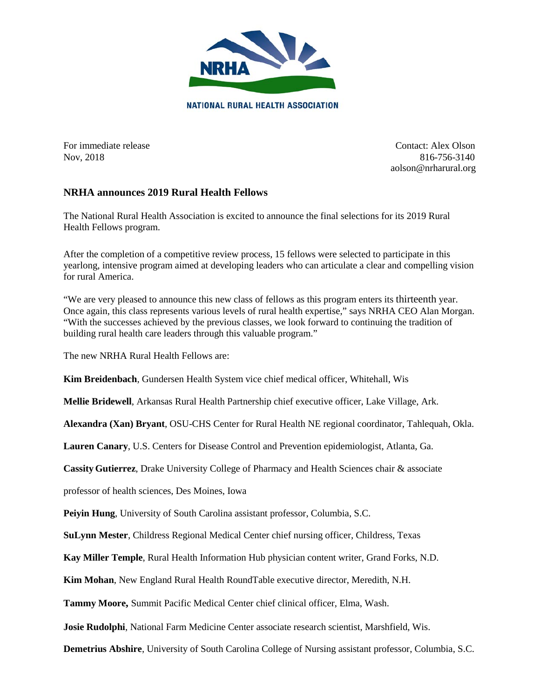

For immediate release Contact: Alex Olson Nov. 2018 816-756-3140 aolson@nrharural.org

## **NRHA announces 2019 Rural Health Fellows**

The National Rural Health Association is excited to announce the final selections for its 2019 Rural Health Fellows program.

After the completion of a competitive review process, 15 fellows were selected to participate in this yearlong, intensive program aimed at developing leaders who can articulate a clear and compelling vision for rural America.

"We are very pleased to announce this new class of fellows as this program enters its thirteenth year. Once again, this class represents various levels of rural health expertise," says NRHA CEO Alan Morgan. "With the successes achieved by the previous classes, we look forward to continuing the tradition of building rural health care leaders through this valuable program."

The new NRHA Rural Health Fellows are:

**Kim Breidenbach**, Gundersen Health System vice chief medical officer, Whitehall, Wis

**Mellie Bridewell**, Arkansas Rural Health Partnership chief executive officer, Lake Village, Ark.

**Alexandra (Xan) Bryant**, OSU-CHS Center for Rural Health NE regional coordinator, Tahlequah, Okla.

**Lauren Canary**, U.S. Centers for Disease Control and Prevention epidemiologist, Atlanta, Ga.

**CassityGutierrez**, Drake University College of Pharmacy and Health Sciences chair & associate

professor of health sciences, Des Moines, Iowa

**Peiyin Hung**, University of South Carolina assistant professor, Columbia, S.C.

**SuLynn Mester**, Childress Regional Medical Center chief nursing officer, Childress, Texas

**Kay Miller Temple**, Rural Health Information Hub physician content writer, Grand Forks, N.D.

**Kim Mohan**, New England Rural Health RoundTable executive director, Meredith, N.H.

**Tammy Moore,** Summit Pacific Medical Center chief clinical officer, Elma, Wash.

**Josie Rudolphi**, National Farm Medicine Center associate research scientist, Marshfield, Wis.

**Demetrius Abshire**, University of South Carolina College of Nursing assistant professor, Columbia, S.C.